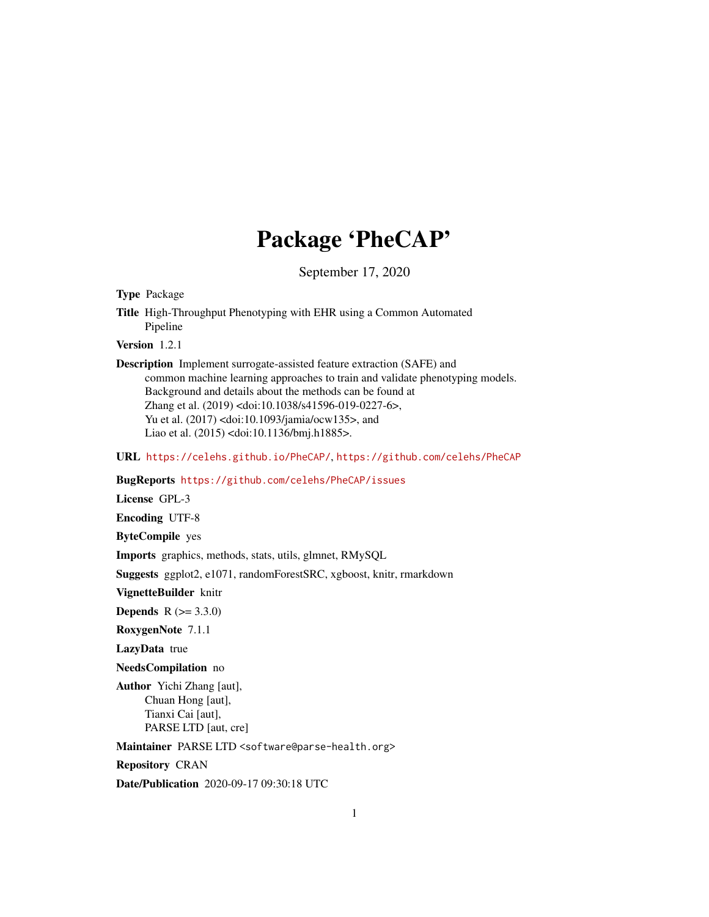## Package 'PheCAP'

September 17, 2020

Type Package

Title High-Throughput Phenotyping with EHR using a Common Automated Pipeline

Version 1.2.1

Description Implement surrogate-assisted feature extraction (SAFE) and common machine learning approaches to train and validate phenotyping models. Background and details about the methods can be found at Zhang et al. (2019) <doi:10.1038/s41596-019-0227-6>, Yu et al. (2017) <doi:10.1093/jamia/ocw135>, and Liao et al. (2015) <doi:10.1136/bmj.h1885>.

URL <https://celehs.github.io/PheCAP/>, <https://github.com/celehs/PheCAP>

BugReports <https://github.com/celehs/PheCAP/issues>

License GPL-3

Encoding UTF-8

ByteCompile yes

Imports graphics, methods, stats, utils, glmnet, RMySQL

Suggests ggplot2, e1071, randomForestSRC, xgboost, knitr, rmarkdown

VignetteBuilder knitr

**Depends** R  $(>= 3.3.0)$ 

RoxygenNote 7.1.1

LazyData true

NeedsCompilation no

Author Yichi Zhang [aut], Chuan Hong [aut], Tianxi Cai [aut], PARSE LTD [aut, cre]

Maintainer PARSE LTD <software@parse-health.org>

Repository CRAN

Date/Publication 2020-09-17 09:30:18 UTC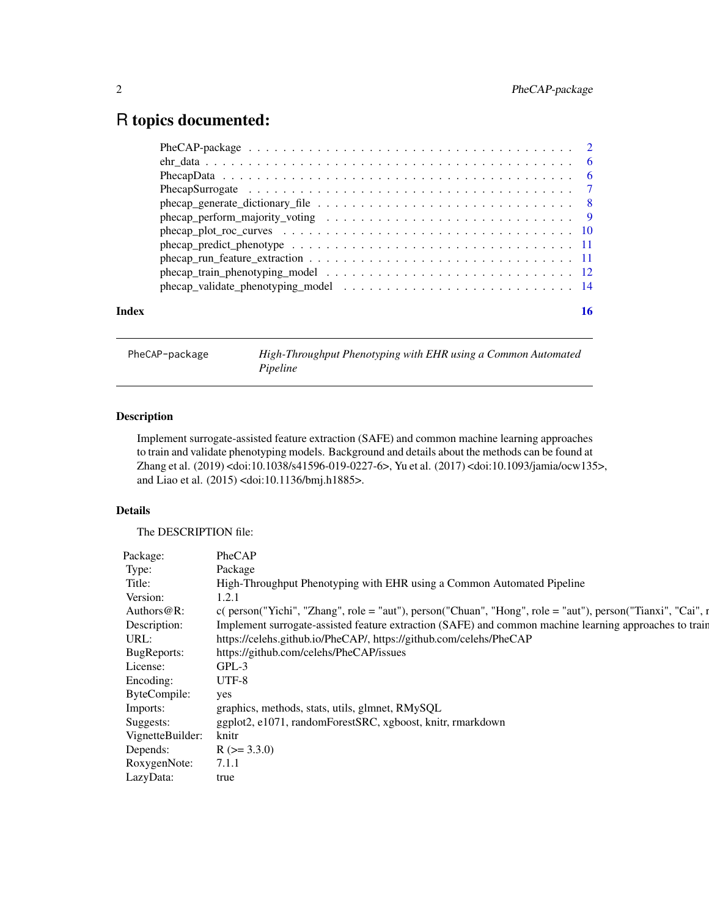### <span id="page-1-0"></span>R topics documented:

| Index |  |
|-------|--|
|       |  |
|       |  |
|       |  |
|       |  |
|       |  |
|       |  |
|       |  |
|       |  |
|       |  |
|       |  |
|       |  |

<span id="page-1-1"></span>PheCAP-package *High-Throughput Phenotyping with EHR using a Common Automated Pipeline*

#### Description

Implement surrogate-assisted feature extraction (SAFE) and common machine learning approaches to train and validate phenotyping models. Background and details about the methods can be found at Zhang et al. (2019) <doi:10.1038/s41596-019-0227-6>, Yu et al. (2017) <doi:10.1093/jamia/ocw135>, and Liao et al. (2015) <doi:10.1136/bmj.h1885>.

#### Details

The DESCRIPTION file:

| Package:               | PheCAP                                                                                                         |
|------------------------|----------------------------------------------------------------------------------------------------------------|
| Type:                  | Package                                                                                                        |
| Title:                 | High-Throughput Phenotyping with EHR using a Common Automated Pipeline                                         |
| Version:               | 1.2.1                                                                                                          |
| Authors@R:             | $c$ ( person("Yichi", "Zhang", role = "aut"), person("Chuan", "Hong", role = "aut"), person("Tianxi", "Cai", r |
| Description:           | Implement surrogate-assisted feature extraction (SAFE) and common machine learning approaches to train         |
| URL:                   | https://celehs.github.io/PheCAP/, https://github.com/celehs/PheCAP                                             |
| <b>BugReports:</b>     | https://github.com/celehs/PheCAP/issues                                                                        |
| License:               | GPL-3                                                                                                          |
| Encoding:              | UTF-8                                                                                                          |
| ByteCompile:           | yes                                                                                                            |
| Imports:               | graphics, methods, stats, utils, glmnet, RMySQL                                                                |
| Suggests:              | ggplot2, e1071, randomForestSRC, xgboost, knitr, rmarkdown                                                     |
| VignetteBuilder: knitr |                                                                                                                |
| Depends:               | $R (= 3.3.0)$                                                                                                  |
| RoxygenNote:           | 7.1.1                                                                                                          |
| LazyData:              | true                                                                                                           |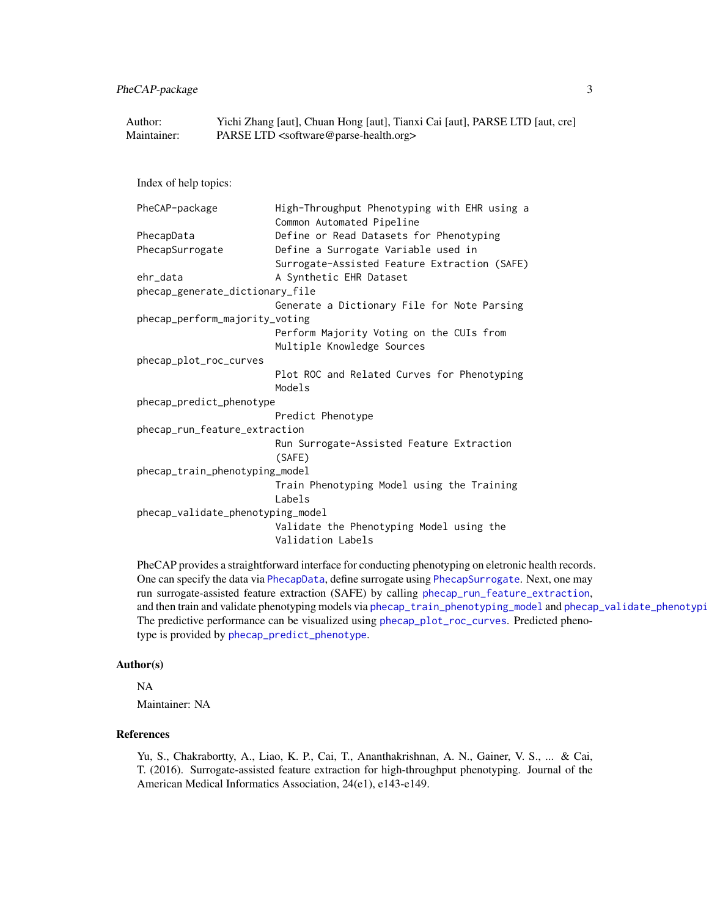<span id="page-2-0"></span>PheCAP-package 3

| Author:     | Yichi Zhang [aut], Chuan Hong [aut], Tianxi Cai [aut], PARSE LTD [aut, cre] |
|-------------|-----------------------------------------------------------------------------|
| Maintainer: | PARSE LTD <software@parse-health.org></software@parse-health.org>           |

Index of help topics:

```
PheCAP-package High-Throughput Phenotyping with EHR using a
                      Common Automated Pipeline
PhecapData Define or Read Datasets for Phenotyping
PhecapSurrogate Define a Surrogate Variable used in
                      Surrogate-Assisted Feature Extraction (SAFE)
ehr_data A Synthetic EHR Dataset
phecap_generate_dictionary_file
                      Generate a Dictionary File for Note Parsing
phecap_perform_majority_voting
                      Perform Majority Voting on the CUIs from
                      Multiple Knowledge Sources
phecap_plot_roc_curves
                      Plot ROC and Related Curves for Phenotyping
                      Models
phecap_predict_phenotype
                      Predict Phenotype
phecap_run_feature_extraction
                      Run Surrogate-Assisted Feature Extraction
                       (SAFE)
phecap_train_phenotyping_model
                      Train Phenotyping Model using the Training
                      Labels
phecap_validate_phenotyping_model
                      Validate the Phenotyping Model using the
                      Validation Labels
```
PheCAP provides a straightforward interface for conducting phenotyping on eletronic health records. One can specify the data via [PhecapData](#page-5-1), define surrogate using [PhecapSurrogate](#page-6-1). Next, one may run surrogate-assisted feature extraction (SAFE) by calling [phecap\\_run\\_feature\\_extraction](#page-10-1), and then train and validate phenotyping models via [phecap\\_train\\_phenotyping\\_model](#page-11-1) and phecap\_validate\_phenotypi The predictive performance can be visualized using [phecap\\_plot\\_roc\\_curves](#page-9-1). Predicted phenotype is provided by [phecap\\_predict\\_phenotype](#page-10-2).

#### Author(s)

NA Maintainer: NA

#### References

Yu, S., Chakrabortty, A., Liao, K. P., Cai, T., Ananthakrishnan, A. N., Gainer, V. S., ... & Cai, T. (2016). Surrogate-assisted feature extraction for high-throughput phenotyping. Journal of the American Medical Informatics Association, 24(e1), e143-e149.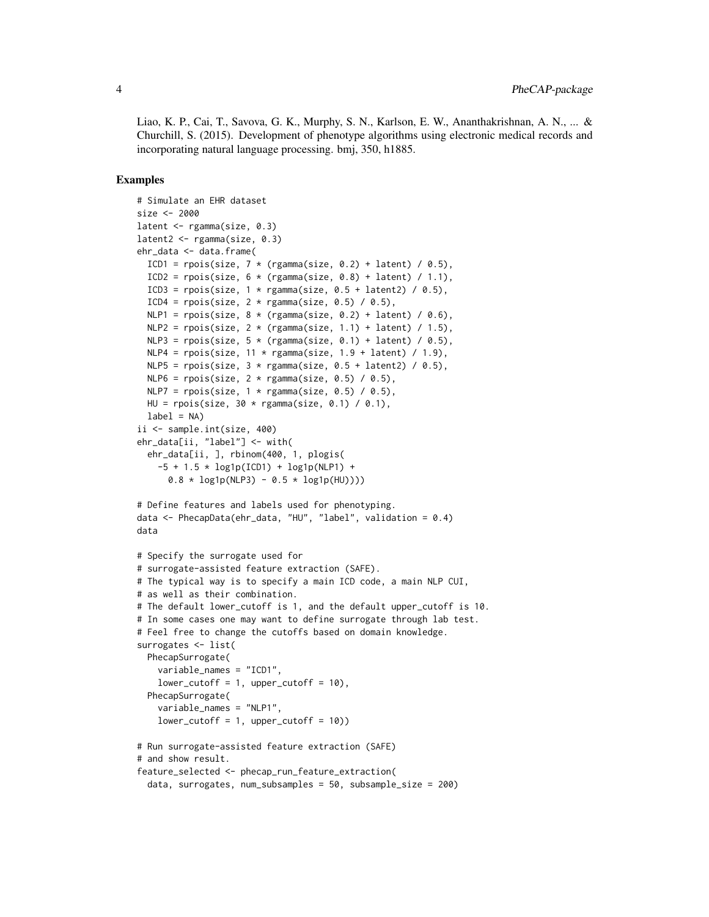Liao, K. P., Cai, T., Savova, G. K., Murphy, S. N., Karlson, E. W., Ananthakrishnan, A. N., ... & Churchill, S. (2015). Development of phenotype algorithms using electronic medical records and incorporating natural language processing. bmj, 350, h1885.

#### Examples

```
# Simulate an EHR dataset
size <- 2000
latent <- rgamma(size, 0.3)
latent2 <- rgamma(size, 0.3)
ehr_data <- data.frame(
 ICD1 = rpois(size, 7 * (rgamma(size, 0.2) + latent) / 0.5),
 ICD2 = rpois(size, 6 * (rgamma(size, 0.8) + latent) / 1.1),ICD3 = rpois(size, 1 * rgamma(size, 0.5 + latent2) / 0.5),
 ICD4 = rpois(size, 2 * rgamma(size, 0.5) / 0.5),
 NLP1 = \text{pois}(size, 8 * (rgamma(size, 0.2) + latent) / 0.6),NLP2 = \text{rpois}(size, 2 * (rgamma(size, 1.1) + latent) / 1.5),NLP3 = \text{rpois}(size, 5 * (rgamma(size, 0.1) + latent) / 0.5),NLP4 = \text{rpois}(size, 11 * \text{rgamma}(size, 1.9 + latent) / 1.9),NLP5 = rpois(size, 3 * rgamma(size, 0.5 + latent2) / 0.5),
 NLP6 = \text{rpois}(size, 2 * \text{rgamma}(size, 0.5) / 0.5),NLP7 = \text{rois}(size, 1 * \text{rgamma}(size, 0.5) / 0.5),HU = rpois(size, 30 * rgamma(size, 0.1) / 0.1),label = NAii <- sample.int(size, 400)
ehr_data[ii, "label"] <- with(
 ehr_data[ii, ], rbinom(400, 1, plogis(
    -5 + 1.5 \times \log 1p(ICD1) + \log 1p(NLP1) +0.8 * log1p(NLP3) - 0.5 * log1p(HU))# Define features and labels used for phenotyping.
data <- PhecapData(ehr_data, "HU", "label", validation = 0.4)
data
# Specify the surrogate used for
# surrogate-assisted feature extraction (SAFE).
# The typical way is to specify a main ICD code, a main NLP CUI,
# as well as their combination.
# The default lower_cutoff is 1, and the default upper_cutoff is 10.
# In some cases one may want to define surrogate through lab test.
# Feel free to change the cutoffs based on domain knowledge.
surrogates <- list(
 PhecapSurrogate(
    variable_names = "ICD1",
    lower-cutoff = 1, upper-cutoff = 10,
 PhecapSurrogate(
    variable_names = "NLP1",
    lower-cutoff = 1, upper-cutoff = 10)# Run surrogate-assisted feature extraction (SAFE)
# and show result.
feature_selected <- phecap_run_feature_extraction(
 data, surrogates, num_subsamples = 50, subsample_size = 200)
```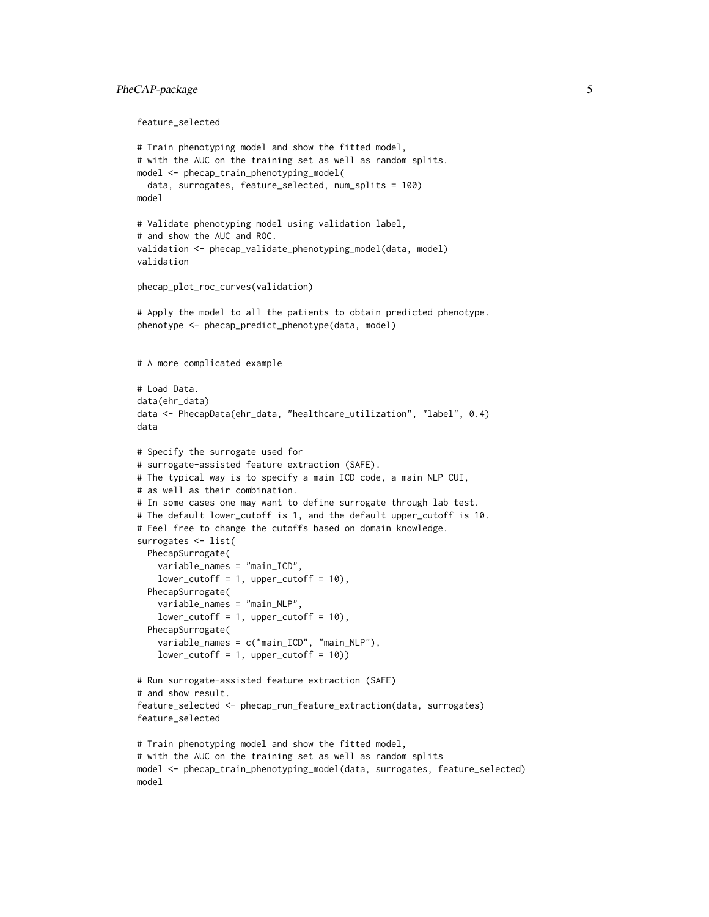#### PheCAP-package 5

feature\_selected

```
# Train phenotyping model and show the fitted model,
# with the AUC on the training set as well as random splits.
model <- phecap_train_phenotyping_model(
 data, surrogates, feature_selected, num_splits = 100)
model
# Validate phenotyping model using validation label,
# and show the AUC and ROC.
validation <- phecap_validate_phenotyping_model(data, model)
validation
phecap_plot_roc_curves(validation)
# Apply the model to all the patients to obtain predicted phenotype.
phenotype <- phecap_predict_phenotype(data, model)
# A more complicated example
# Load Data.
data(ehr_data)
data <- PhecapData(ehr_data, "healthcare_utilization", "label", 0.4)
data
# Specify the surrogate used for
# surrogate-assisted feature extraction (SAFE).
# The typical way is to specify a main ICD code, a main NLP CUI,
# as well as their combination.
# In some cases one may want to define surrogate through lab test.
# The default lower_cutoff is 1, and the default upper_cutoff is 10.
# Feel free to change the cutoffs based on domain knowledge.
surrogates <- list(
 PhecapSurrogate(
    variable_names = "main_ICD",
    lower-cutoff = 1, upper_cutoff = 10),
 PhecapSurrogate(
    variable_names = "main_NLP",
    lower-cutoff = 1, upper-cutoff = 10,
 PhecapSurrogate(
    variable_names = c("main_ICD", "main_NLP"),
    lower_cutoff = 1, upper_cutoff = 10))
# Run surrogate-assisted feature extraction (SAFE)
# and show result.
feature_selected <- phecap_run_feature_extraction(data, surrogates)
feature_selected
# Train phenotyping model and show the fitted model,
# with the AUC on the training set as well as random splits
model <- phecap_train_phenotyping_model(data, surrogates, feature_selected)
model
```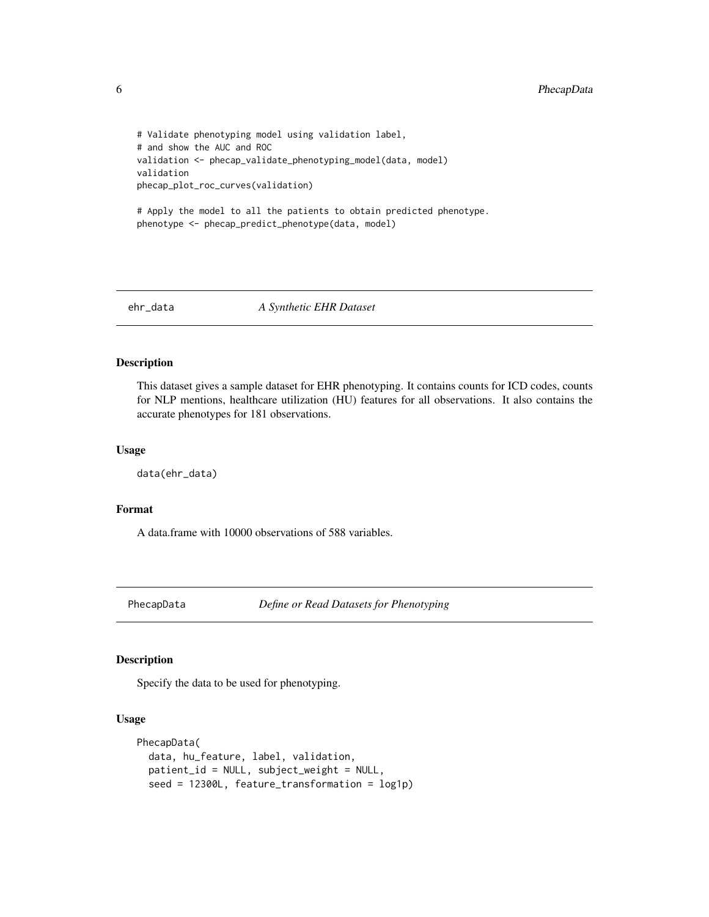```
# Validate phenotyping model using validation label,
# and show the AUC and ROC
validation <- phecap_validate_phenotyping_model(data, model)
validation
phecap_plot_roc_curves(validation)
```

```
# Apply the model to all the patients to obtain predicted phenotype.
phenotype <- phecap_predict_phenotype(data, model)
```
ehr\_data *A Synthetic EHR Dataset*

#### Description

This dataset gives a sample dataset for EHR phenotyping. It contains counts for ICD codes, counts for NLP mentions, healthcare utilization (HU) features for all observations. It also contains the accurate phenotypes for 181 observations.

#### Usage

```
data(ehr_data)
```
#### Format

A data.frame with 10000 observations of 588 variables.

<span id="page-5-1"></span>PhecapData *Define or Read Datasets for Phenotyping*

#### Description

Specify the data to be used for phenotyping.

#### Usage

```
PhecapData(
  data, hu_feature, label, validation,
 patient_id = NULL, subject_weight = NULL,
  seed = 12300L, feature_transformation = log1p)
```
<span id="page-5-0"></span>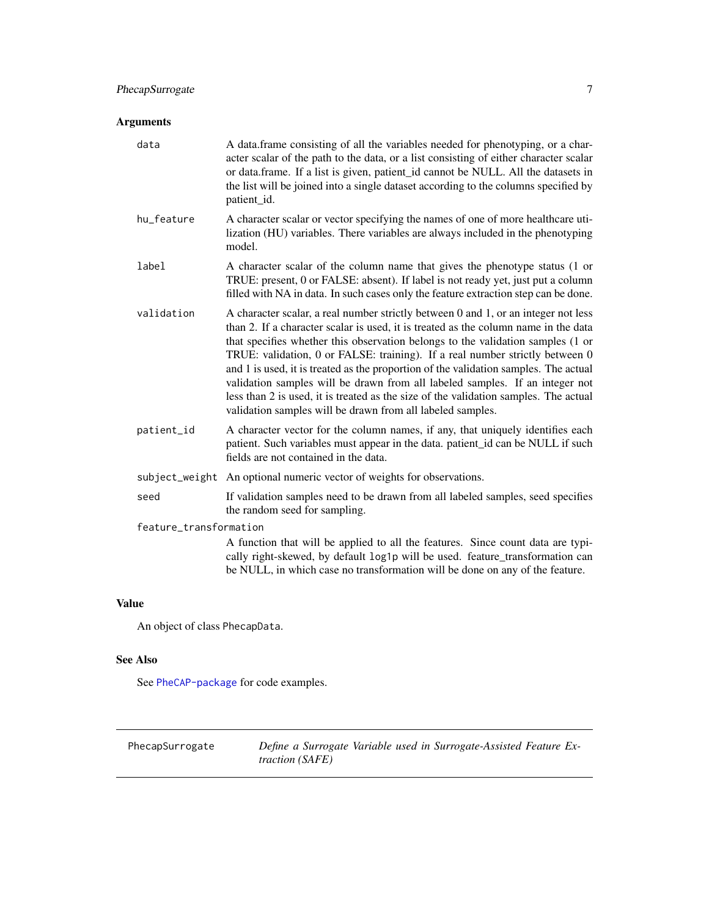#### <span id="page-6-0"></span>PhecapSurrogate 7

#### Arguments

| data                   | A data.frame consisting of all the variables needed for phenotyping, or a char-<br>acter scalar of the path to the data, or a list consisting of either character scalar<br>or data.frame. If a list is given, patient_id cannot be NULL. All the datasets in<br>the list will be joined into a single dataset according to the columns specified by<br>patient_id.                                                                                                                                                                                                                                                                                                        |
|------------------------|----------------------------------------------------------------------------------------------------------------------------------------------------------------------------------------------------------------------------------------------------------------------------------------------------------------------------------------------------------------------------------------------------------------------------------------------------------------------------------------------------------------------------------------------------------------------------------------------------------------------------------------------------------------------------|
| hu_feature             | A character scalar or vector specifying the names of one of more healthcare uti-<br>lization (HU) variables. There variables are always included in the phenotyping<br>model.                                                                                                                                                                                                                                                                                                                                                                                                                                                                                              |
| label                  | A character scalar of the column name that gives the phenotype status (1 or<br>TRUE: present, 0 or FALSE: absent). If label is not ready yet, just put a column<br>filled with NA in data. In such cases only the feature extraction step can be done.                                                                                                                                                                                                                                                                                                                                                                                                                     |
| validation             | A character scalar, a real number strictly between 0 and 1, or an integer not less<br>than 2. If a character scalar is used, it is treated as the column name in the data<br>that specifies whether this observation belongs to the validation samples (1 or<br>TRUE: validation, 0 or FALSE: training). If a real number strictly between 0<br>and 1 is used, it is treated as the proportion of the validation samples. The actual<br>validation samples will be drawn from all labeled samples. If an integer not<br>less than 2 is used, it is treated as the size of the validation samples. The actual<br>validation samples will be drawn from all labeled samples. |
| patient_id             | A character vector for the column names, if any, that uniquely identifies each<br>patient. Such variables must appear in the data. patient_id can be NULL if such<br>fields are not contained in the data.                                                                                                                                                                                                                                                                                                                                                                                                                                                                 |
|                        | subject_weight An optional numeric vector of weights for observations.                                                                                                                                                                                                                                                                                                                                                                                                                                                                                                                                                                                                     |
| seed                   | If validation samples need to be drawn from all labeled samples, seed specifies<br>the random seed for sampling.                                                                                                                                                                                                                                                                                                                                                                                                                                                                                                                                                           |
| feature_transformation |                                                                                                                                                                                                                                                                                                                                                                                                                                                                                                                                                                                                                                                                            |
|                        | A function that will be applied to all the features. Since count data are typi-<br>cally right-skewed, by default log1p will be used. feature_transformation can<br>be NULL, in which case no transformation will be done on any of the feature.                                                                                                                                                                                                                                                                                                                                                                                                                           |
|                        |                                                                                                                                                                                                                                                                                                                                                                                                                                                                                                                                                                                                                                                                            |

#### Value

An object of class PhecapData.

#### See Also

See [PheCAP-package](#page-1-1) for code examples.

<span id="page-6-1"></span>PhecapSurrogate *Define a Surrogate Variable used in Surrogate-Assisted Feature Extraction (SAFE)*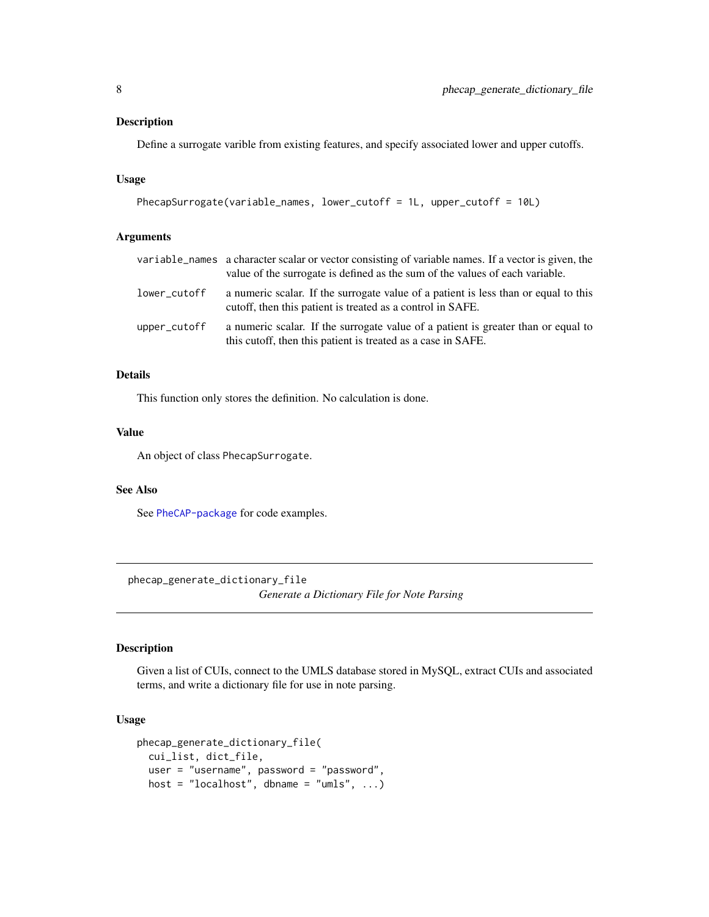#### <span id="page-7-0"></span>Description

Define a surrogate varible from existing features, and specify associated lower and upper cutoffs.

#### Usage

```
PhecapSurrogate(variable_names, lower_cutoff = 1L, upper_cutoff = 10L)
```
#### Arguments

|              | variable_names a character scalar or vector consisting of variable names. If a vector is given, the<br>value of the surrogate is defined as the sum of the values of each variable. |
|--------------|-------------------------------------------------------------------------------------------------------------------------------------------------------------------------------------|
| lower_cutoff | a numeric scalar. If the surrogate value of a patient is less than or equal to this<br>cutoff, then this patient is treated as a control in SAFE.                                   |
| upper_cutoff | a numeric scalar. If the surrogate value of a patient is greater than or equal to<br>this cutoff, then this patient is treated as a case in SAFE.                                   |

#### Details

This function only stores the definition. No calculation is done.

#### Value

An object of class PhecapSurrogate.

#### See Also

See [PheCAP-package](#page-1-1) for code examples.

phecap\_generate\_dictionary\_file *Generate a Dictionary File for Note Parsing*

#### Description

Given a list of CUIs, connect to the UMLS database stored in MySQL, extract CUIs and associated terms, and write a dictionary file for use in note parsing.

#### Usage

```
phecap_generate_dictionary_file(
  cui_list, dict_file,
  user = "username", password = "password",
  host = "localhost", dbname = "umls", \ldots)
```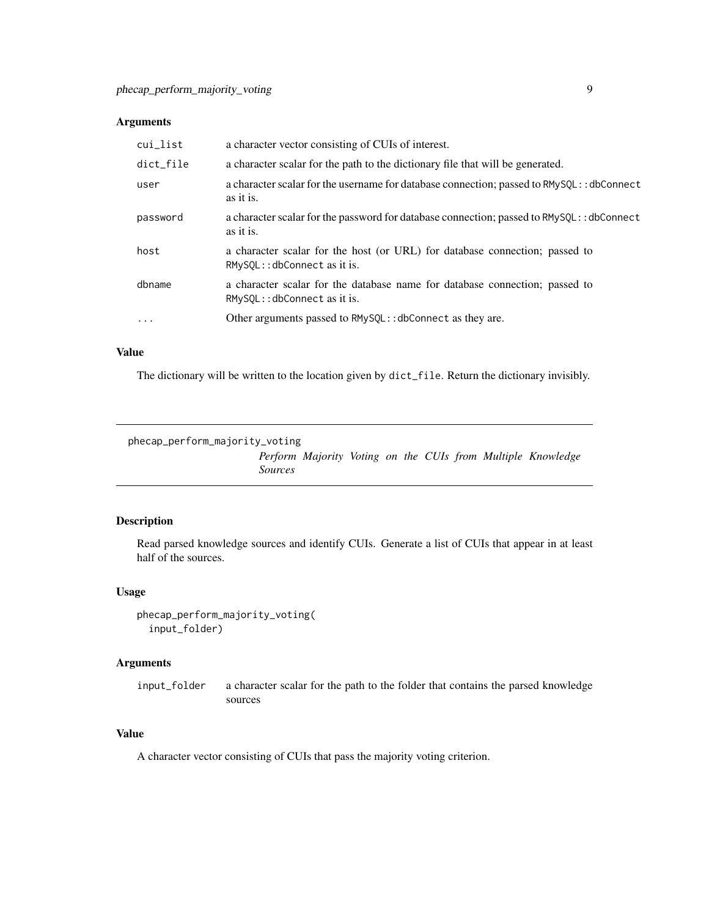#### <span id="page-8-0"></span>Arguments

| cui_list            | a character vector consisting of CUIs of interest.                                                             |
|---------------------|----------------------------------------------------------------------------------------------------------------|
| dict_file           | a character scalar for the path to the dictionary file that will be generated.                                 |
| user                | a character scalar for the username for database connection; passed to RMySQL: : dbConnect<br>as it is.        |
| password            | a character scalar for the password for database connection; passed to RMySQL: : dbConnect<br>as it is.        |
| host                | a character scalar for the host (or URL) for database connection; passed to<br>$RMySOL$ :: dbConnect as it is. |
| dbname              | a character scalar for the database name for database connection; passed to<br>$RMvSOL$ :: dbConnect as it is. |
| $\cdot \cdot \cdot$ | Other arguments passed to RMySQL:: dbConnect as they are.                                                      |

#### Value

The dictionary will be written to the location given by dict\_file. Return the dictionary invisibly.

```
phecap_perform_majority_voting
```
*Perform Majority Voting on the CUIs from Multiple Knowledge Sources*

#### Description

Read parsed knowledge sources and identify CUIs. Generate a list of CUIs that appear in at least half of the sources.

#### Usage

```
phecap_perform_majority_voting(
  input_folder)
```
#### Arguments

input\_folder a character scalar for the path to the folder that contains the parsed knowledge sources

#### Value

A character vector consisting of CUIs that pass the majority voting criterion.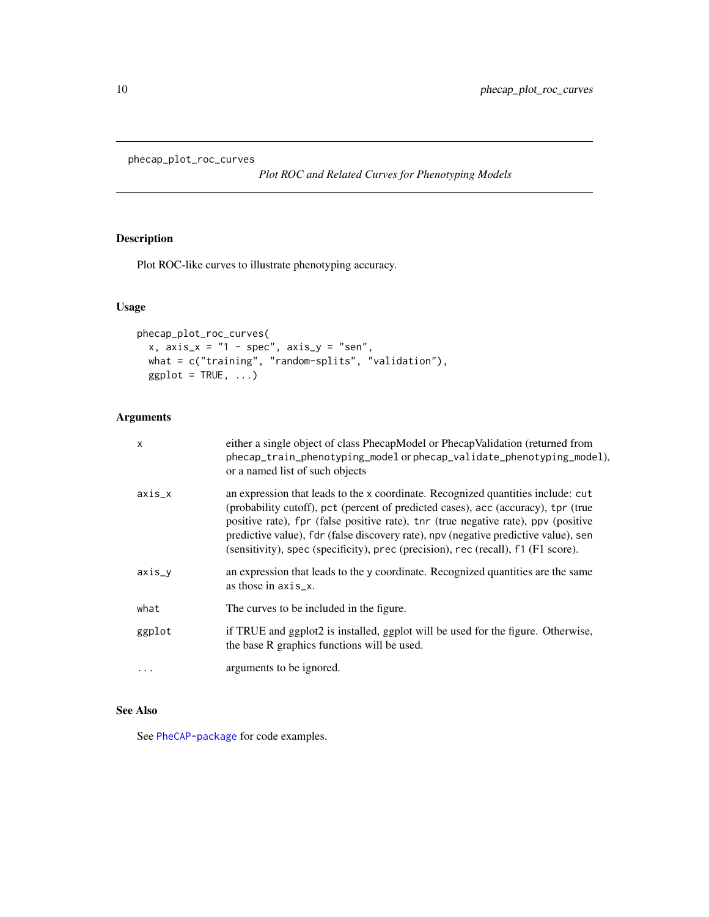<span id="page-9-1"></span><span id="page-9-0"></span>phecap\_plot\_roc\_curves

*Plot ROC and Related Curves for Phenotyping Models*

#### Description

Plot ROC-like curves to illustrate phenotyping accuracy.

#### Usage

```
phecap_plot_roc_curves(
  x, axis_x = "1 - spec", axis_y = "sen",what = c("training", "random-splits", "validation"),
 ggplot = TRUE, ...)
```
#### Arguments

| X        | either a single object of class PhecapModel or PhecapValidation (returned from<br>phecap_train_phenotyping_model or phecap_validate_phenotyping_model),<br>or a named list of such objects                                                                                                                                                                                                                                              |
|----------|-----------------------------------------------------------------------------------------------------------------------------------------------------------------------------------------------------------------------------------------------------------------------------------------------------------------------------------------------------------------------------------------------------------------------------------------|
| axis_x   | an expression that leads to the x coordinate. Recognized quantities include: cut<br>(probability cutoff), pct (percent of predicted cases), acc (accuracy), tpr (true<br>positive rate), fpr (false positive rate), tnr (true negative rate), ppv (positive<br>predictive value), fdr (false discovery rate), npv (negative predictive value), sen<br>(sensitivity), spec (specificity), prec (precision), rec (recall), f1 (F1 score). |
| axis_y   | an expression that leads to the y coordinate. Recognized quantities are the same<br>as those in $axis_x$ .                                                                                                                                                                                                                                                                                                                              |
| what     | The curves to be included in the figure.                                                                                                                                                                                                                                                                                                                                                                                                |
| ggplot   | if TRUE and ggplot2 is installed, ggplot will be used for the figure. Otherwise,<br>the base R graphics functions will be used.                                                                                                                                                                                                                                                                                                         |
| $\cdots$ | arguments to be ignored.                                                                                                                                                                                                                                                                                                                                                                                                                |

#### See Also

See [PheCAP-package](#page-1-1) for code examples.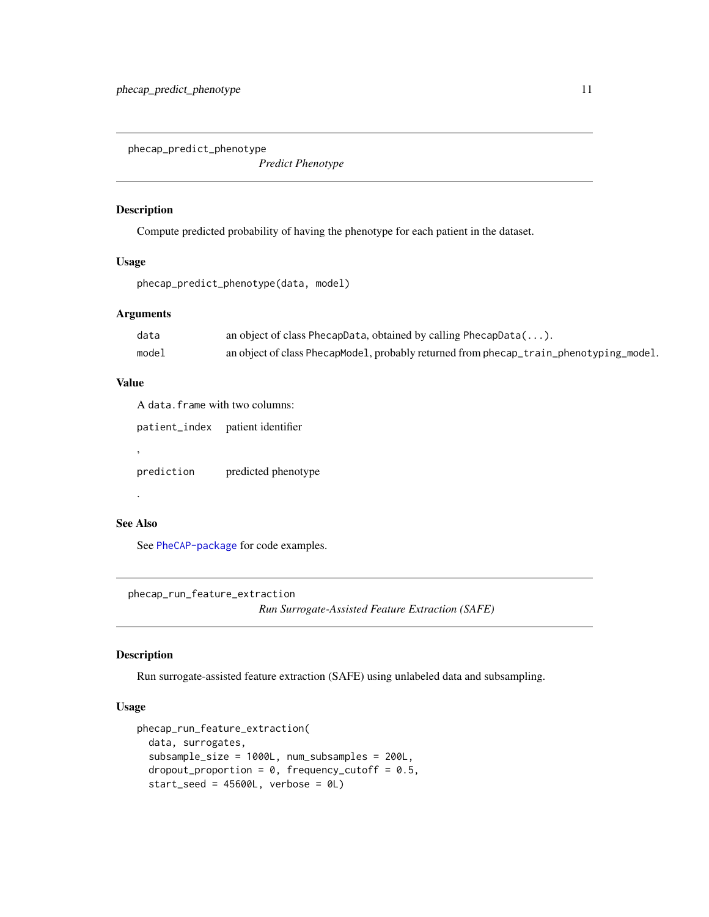<span id="page-10-2"></span><span id="page-10-0"></span>phecap\_predict\_phenotype

*Predict Phenotype*

#### Description

Compute predicted probability of having the phenotype for each patient in the dataset.

#### Usage

```
phecap_predict_phenotype(data, model)
```
#### Arguments

| data  | an object of class PhecapData, obtained by calling PhecapData $(\ldots)$ .             |
|-------|----------------------------------------------------------------------------------------|
| model | an object of class PhecapModel, probably returned from phecap_train_phenotyping_model. |

#### Value

A data.frame with two columns:

patient\_index patient identifier

prediction predicted phenotype

#### See Also

.

,

See [PheCAP-package](#page-1-1) for code examples.

<span id="page-10-1"></span>phecap\_run\_feature\_extraction *Run Surrogate-Assisted Feature Extraction (SAFE)*

#### Description

Run surrogate-assisted feature extraction (SAFE) using unlabeled data and subsampling.

#### Usage

```
phecap_run_feature_extraction(
  data, surrogates,
  subsample_size = 1000L, num_subsamples = 200L,
  dropout_proportion = 0, frequency_cutoff = 0.5,
  start\_seed = 45600L, verbose = OL)
```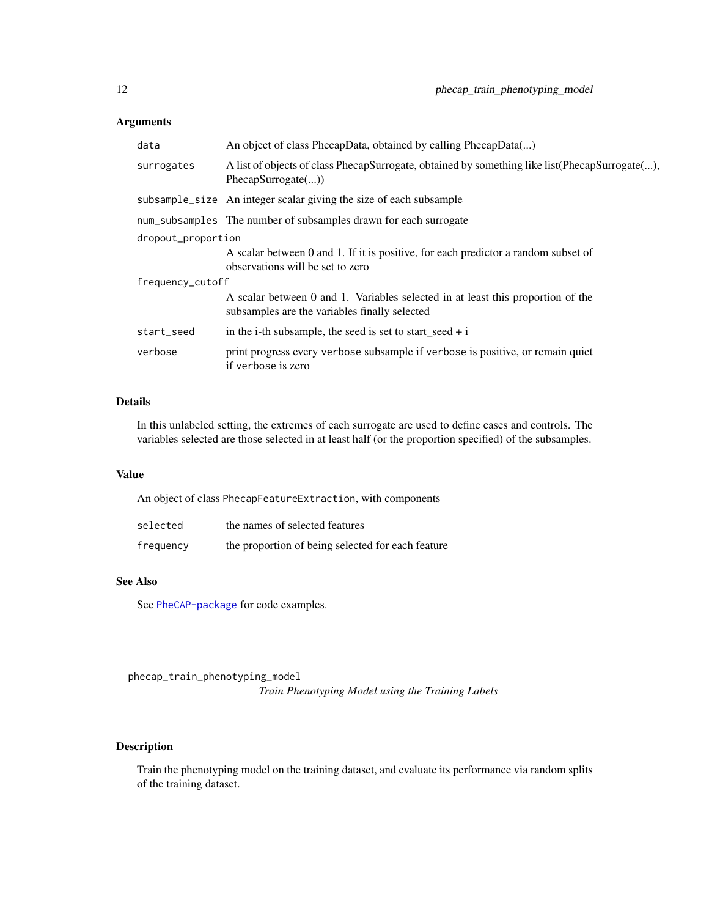#### <span id="page-11-0"></span>Arguments

| data               | An object of class PhecapData, obtained by calling PhecapData()                                                                  |  |
|--------------------|----------------------------------------------------------------------------------------------------------------------------------|--|
| surrogates         | A list of objects of class PhecapSurrogate, obtained by something like list (PhecapSurrogate(),<br>PhecapSurrogate()             |  |
|                    | subsample_size An integer scalar giving the size of each subsample                                                               |  |
|                    | num_subsamples The number of subsamples drawn for each surrogate                                                                 |  |
| dropout_proportion |                                                                                                                                  |  |
|                    | A scalar between 0 and 1. If it is positive, for each predictor a random subset of<br>observations will be set to zero           |  |
| frequency_cutoff   |                                                                                                                                  |  |
|                    | A scalar between 0 and 1. Variables selected in at least this proportion of the<br>subsamples are the variables finally selected |  |
| start_seed         | in the i-th subsample, the seed is set to start_seed + i                                                                         |  |
| verbose            | print progress every verbose subsample if verbose is positive, or remain quiet<br>if verbose is zero                             |  |

#### Details

In this unlabeled setting, the extremes of each surrogate are used to define cases and controls. The variables selected are those selected in at least half (or the proportion specified) of the subsamples.

#### Value

An object of class PhecapFeatureExtraction, with components

| selected  | the names of selected features                    |
|-----------|---------------------------------------------------|
| frequency | the proportion of being selected for each feature |

#### See Also

See [PheCAP-package](#page-1-1) for code examples.

<span id="page-11-1"></span>phecap\_train\_phenotyping\_model *Train Phenotyping Model using the Training Labels*

#### Description

Train the phenotyping model on the training dataset, and evaluate its performance via random splits of the training dataset.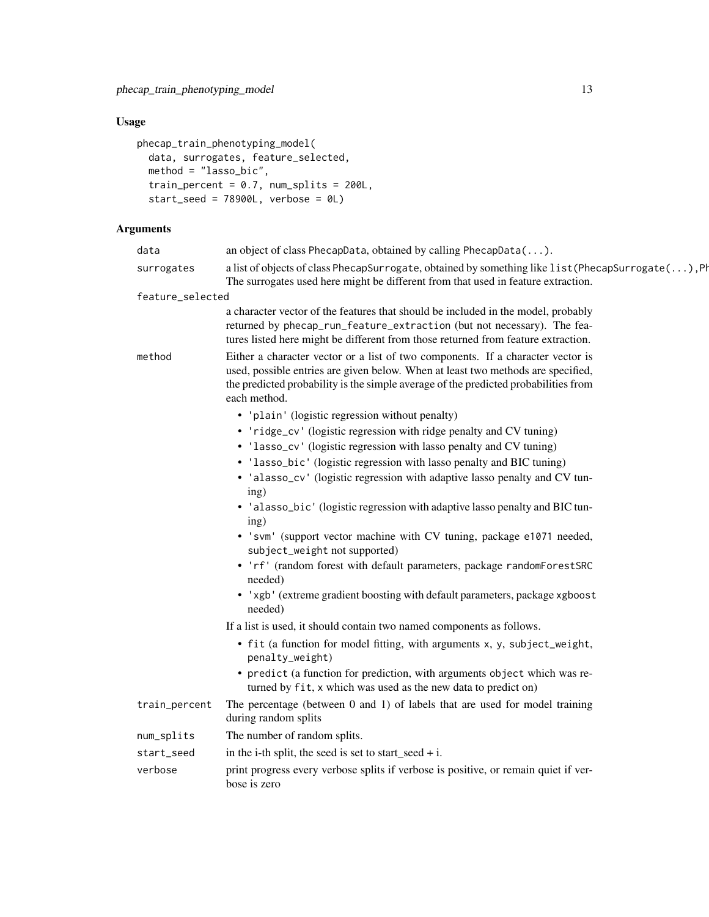#### Usage

```
phecap_train_phenotyping_model(
 data, surrogates, feature_selected,
 method = "lasso_bic",
 train_percent = 0.7, num_splits = 200L,
 start_seed = 78900L, verbose = 0L)
```
#### Arguments

| data             | an object of class PhecapData, obtained by calling PhecapData().                                                                                                                                                                                                           |  |
|------------------|----------------------------------------------------------------------------------------------------------------------------------------------------------------------------------------------------------------------------------------------------------------------------|--|
| surrogates       | a list of objects of class PhecapSurrogate, obtained by something like list (PhecapSurrogate (), Ph<br>The surrogates used here might be different from that used in feature extraction.                                                                                   |  |
| feature_selected |                                                                                                                                                                                                                                                                            |  |
|                  | a character vector of the features that should be included in the model, probably<br>returned by phecap_run_feature_extraction (but not necessary). The fea-<br>tures listed here might be different from those returned from feature extraction.                          |  |
| method           | Either a character vector or a list of two components. If a character vector is<br>used, possible entries are given below. When at least two methods are specified,<br>the predicted probability is the simple average of the predicted probabilities from<br>each method. |  |
|                  | • 'plain' (logistic regression without penalty)                                                                                                                                                                                                                            |  |
|                  | • 'ridge_cv' (logistic regression with ridge penalty and CV tuning)                                                                                                                                                                                                        |  |
|                  | • 'lasso_cv' (logistic regression with lasso penalty and CV tuning)                                                                                                                                                                                                        |  |
|                  | • 'lasso_bic' (logistic regression with lasso penalty and BIC tuning)                                                                                                                                                                                                      |  |
|                  | • 'alasso_cv' (logistic regression with adaptive lasso penalty and CV tun-<br>ing)                                                                                                                                                                                         |  |
|                  | • 'alasso_bic' (logistic regression with adaptive lasso penalty and BIC tun-<br>ing)                                                                                                                                                                                       |  |
|                  | · 'svm' (support vector machine with CV tuning, package e1071 needed,<br>subject_weight not supported)                                                                                                                                                                     |  |
|                  | • 'rf' (random forest with default parameters, package randomForestSRC<br>needed)                                                                                                                                                                                          |  |
|                  | • 'xgb' (extreme gradient boosting with default parameters, package xgboost<br>needed)                                                                                                                                                                                     |  |
|                  | If a list is used, it should contain two named components as follows.                                                                                                                                                                                                      |  |
|                  | • fit (a function for model fitting, with arguments x, y, subject_weight,<br>penalty_weight)                                                                                                                                                                               |  |
|                  | • predict (a function for prediction, with arguments object which was re-<br>turned by fit, x which was used as the new data to predict on)                                                                                                                                |  |
| train_percent    | The percentage (between 0 and 1) of labels that are used for model training<br>during random splits                                                                                                                                                                        |  |
| num_splits       | The number of random splits.                                                                                                                                                                                                                                               |  |
| start_seed       | in the i-th split, the seed is set to start_seed + i.                                                                                                                                                                                                                      |  |
| verbose          | print progress every verbose splits if verbose is positive, or remain quiet if ver-<br>bose is zero                                                                                                                                                                        |  |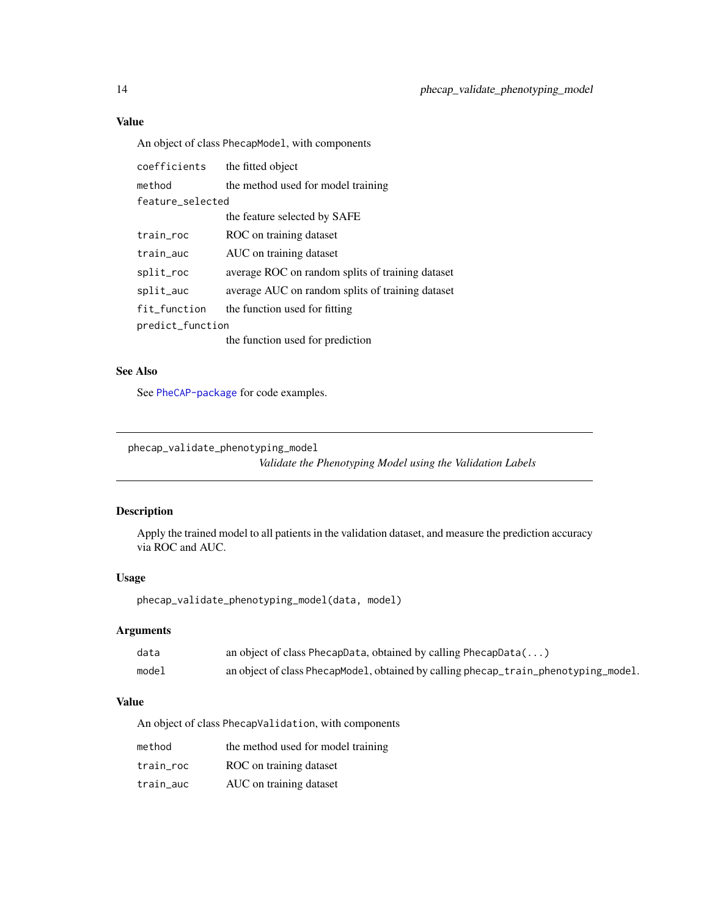#### Value

An object of class PhecapModel, with components

| coefficients     | the fitted object                                |  |
|------------------|--------------------------------------------------|--|
| method           | the method used for model training               |  |
| feature selected |                                                  |  |
|                  | the feature selected by SAFE                     |  |
| train_roc        | ROC on training dataset                          |  |
| train_auc        | AUC on training dataset                          |  |
| split_roc        | average ROC on random splits of training dataset |  |
| split_auc        | average AUC on random splits of training dataset |  |
| fit_function     | the function used for fitting                    |  |
| predict_function |                                                  |  |
|                  | the function used for prediction                 |  |

#### See Also

See [PheCAP-package](#page-1-1) for code examples.

<span id="page-13-1"></span>phecap\_validate\_phenotyping\_model

*Validate the Phenotyping Model using the Validation Labels*

#### Description

Apply the trained model to all patients in the validation dataset, and measure the prediction accuracy via ROC and AUC.

#### Usage

phecap\_validate\_phenotyping\_model(data, model)

#### Arguments

| data  | an object of class PhecapData, obtained by calling PhecapData()                     |
|-------|-------------------------------------------------------------------------------------|
| model | an object of class PhecapModel, obtained by calling phecap_train_phenotyping_model. |

#### Value

An object of class PhecapValidation, with components

| method    | the method used for model training |
|-----------|------------------------------------|
| train roc | ROC on training dataset            |
| train auc | AUC on training dataset            |

<span id="page-13-0"></span>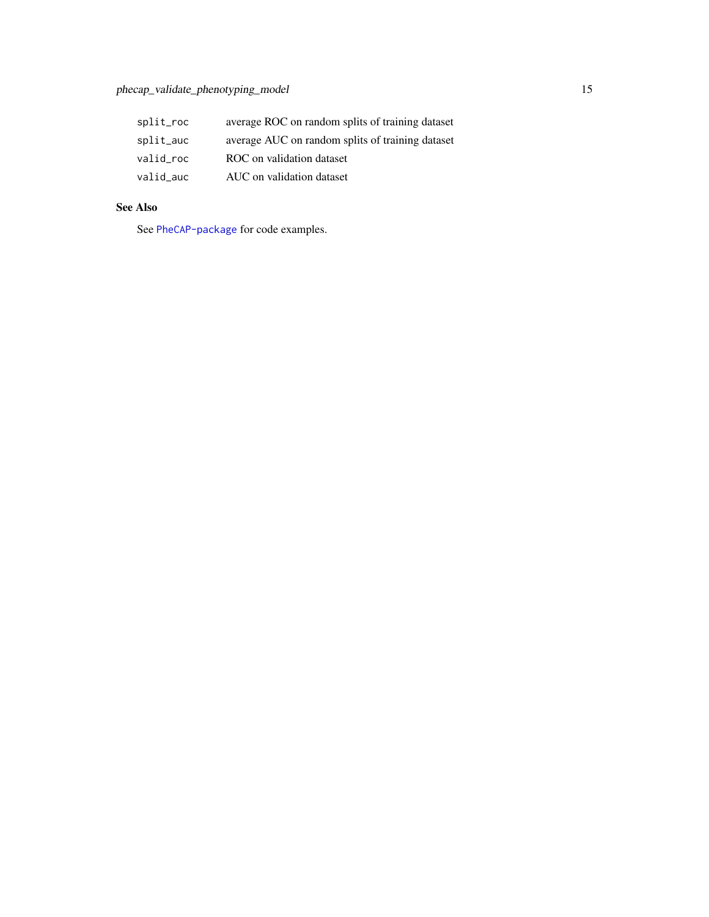| split_roc | average ROC on random splits of training dataset |
|-----------|--------------------------------------------------|
| split_auc | average AUC on random splits of training dataset |
| valid roc | ROC on validation dataset                        |
| valid auc | AUC on validation dataset                        |

#### See Also

See [PheCAP-package](#page-1-1) for code examples.